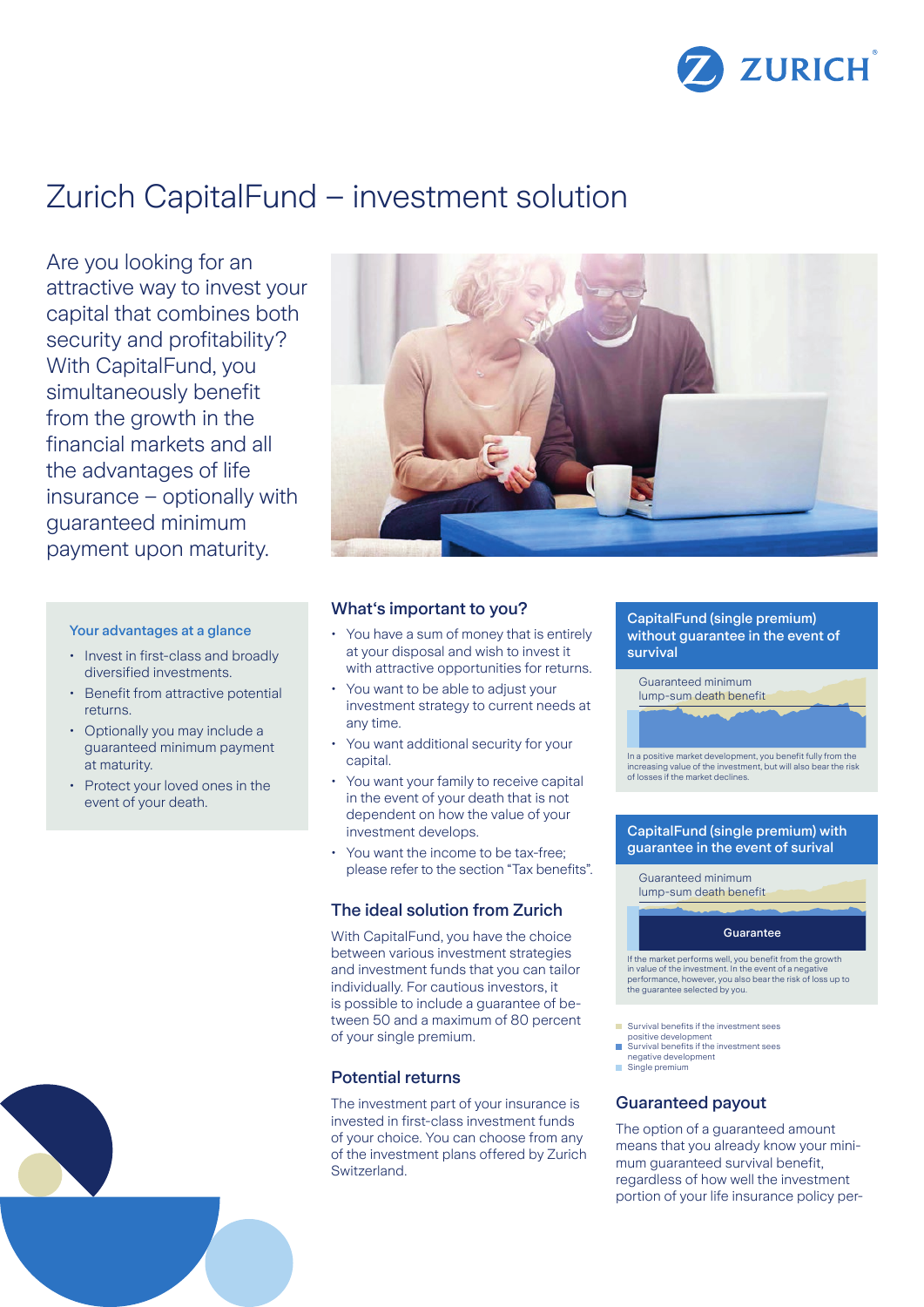

# Zurich CapitalFund – investment solution

Are you looking for an attractive way to invest your capital that combines both security and profitability? With CapitalFund, you simultaneously benefit from the growth in the financial markets and all the advantages of life insurance – optionally with guaranteed minimum payment upon maturity.

#### Your advantages at a glance

- Invest in first-class and broadly diversified investments.
- Benefit from attractive potential returns.
- Optionally you may include a guaranteed minimum payment at maturity.
- Protect your loved ones in the event of your death.



#### What's important to you?

- You have a sum of money that is entirely at your disposal and wish to invest it with attractive opportunities for returns.
- You want to be able to adjust your investment strategy to current needs at any time.
- You want additional security for your capital.
- You want your family to receive capital in the event of your death that is not dependent on how the value of your investment develops.
- You want the income to be tax-free; please refer to the section "Tax benefits".

#### The ideal solution from Zurich

With CapitalFund, you have the choice between various investment strategies and investment funds that you can tailor individually. For cautious investors, it is possible to include a guarantee of between 50 and a maximum of 80 percent of your single premium.

# Potential returns

The investment part of your insurance is invested in first-class investment funds of your choice. You can choose from any of the investment plans offered by Zurich Switzerland.

CapitalFund (single premium) without guarantee in the event of survival

Guaranteed minimum lump-sum death benefit

In a positive market development, you benefit fully from the increasing value of the investment, but will also bear the risk of losses if the market declines.

#### CapitalFund (single premium) with guarantee in the event of surival



- 
- Survival benefits if the investment sees positive development Survival benefits if the investment sees
- negative development Single premium
- 

# Guaranteed payout

The option of a guaranteed amount means that you already know your minimum guaranteed survival benefit, regardless of how well the investment portion of your life insurance policy per